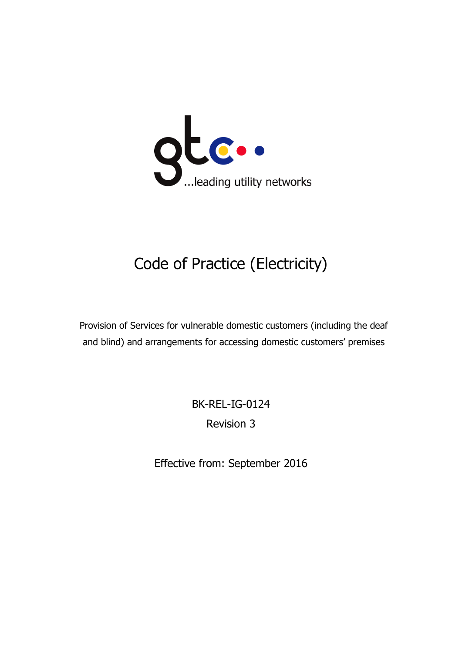

# Code of Practice (Electricity)

Provision of Services for vulnerable domestic customers (including the deaf and blind) and arrangements for accessing domestic customers' premises

> BK-REL-IG-0124 Revision 3

Effective from: September 2016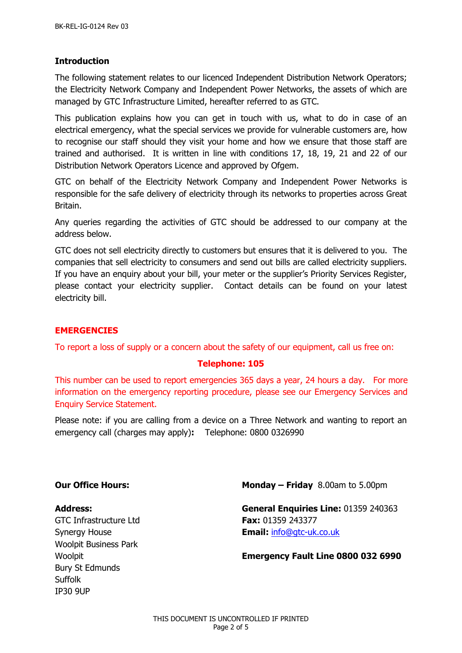#### **Introduction**

The following statement relates to our licenced Independent Distribution Network Operators; the Electricity Network Company and Independent Power Networks, the assets of which are managed by GTC Infrastructure Limited, hereafter referred to as GTC.

This publication explains how you can get in touch with us, what to do in case of an electrical emergency, what the special services we provide for vulnerable customers are, how to recognise our staff should they visit your home and how we ensure that those staff are trained and authorised. It is written in line with conditions 17, 18, 19, 21 and 22 of our Distribution Network Operators Licence and approved by Ofgem.

GTC on behalf of the Electricity Network Company and Independent Power Networks is responsible for the safe delivery of electricity through its networks to properties across Great Britain.

Any queries regarding the activities of GTC should be addressed to our company at the address below.

GTC does not sell electricity directly to customers but ensures that it is delivered to you. The companies that sell electricity to consumers and send out bills are called electricity suppliers. If you have an enquiry about your bill, your meter or the supplier's Priority Services Register, please contact your electricity supplier. Contact details can be found on your latest electricity bill.

## **EMERGENCIES**

To report a loss of supply or a concern about the safety of our equipment, call us free on:

#### **Telephone: 105**

This number can be used to report emergencies 365 days a year, 24 hours a day. For more information on the emergency reporting procedure, please see our Emergency Services and Enquiry Service Statement.

Please note: if you are calling from a device on a Three Network and wanting to report an emergency call (charges may apply)**:** Telephone: 0800 0326990

GTC Infrastructure Ltd **Fax:** 01359 243377 Woolpit Business Park Bury St Edmunds Suffolk IP30 9UP

**Our Office Hours: Monday – Friday** 8.00am to 5.00pm

**Address: General Enquiries Line:** 01359 240363 Synergy House **Email:** [info@gtc-uk.co.uk](mailto:info@gtc-uk.co.uk)

Woolpit **Emergency Fault Line 0800 032 6990**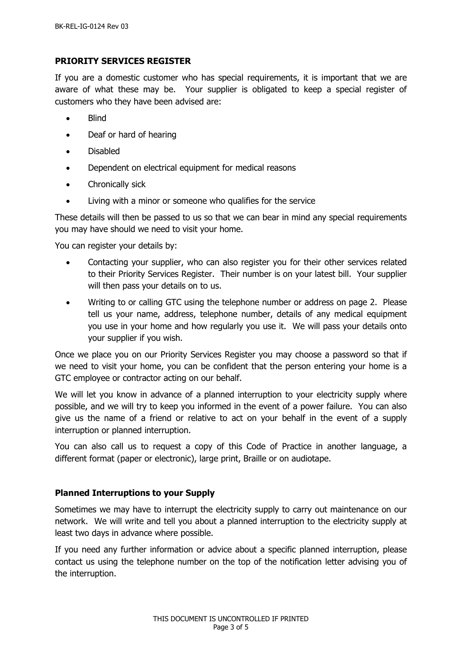#### **PRIORITY SERVICES REGISTER**

If you are a domestic customer who has special requirements, it is important that we are aware of what these may be. Your supplier is obligated to keep a special register of customers who they have been advised are:

- Blind
- Deaf or hard of hearing
- Disabled
- Dependent on electrical equipment for medical reasons
- Chronically sick
- Living with a minor or someone who qualifies for the service

These details will then be passed to us so that we can bear in mind any special requirements you may have should we need to visit your home.

You can register your details by:

- Contacting your supplier, who can also register you for their other services related to their Priority Services Register. Their number is on your latest bill. Your supplier will then pass your details on to us.
- Writing to or calling GTC using the telephone number or address on page 2. Please tell us your name, address, telephone number, details of any medical equipment you use in your home and how regularly you use it. We will pass your details onto your supplier if you wish.

Once we place you on our Priority Services Register you may choose a password so that if we need to visit your home, you can be confident that the person entering your home is a GTC employee or contractor acting on our behalf.

We will let you know in advance of a planned interruption to your electricity supply where possible, and we will try to keep you informed in the event of a power failure. You can also give us the name of a friend or relative to act on your behalf in the event of a supply interruption or planned interruption.

You can also call us to request a copy of this Code of Practice in another language, a different format (paper or electronic), large print, Braille or on audiotape.

## **Planned Interruptions to your Supply**

Sometimes we may have to interrupt the electricity supply to carry out maintenance on our network. We will write and tell you about a planned interruption to the electricity supply at least two days in advance where possible.

If you need any further information or advice about a specific planned interruption, please contact us using the telephone number on the top of the notification letter advising you of the interruption.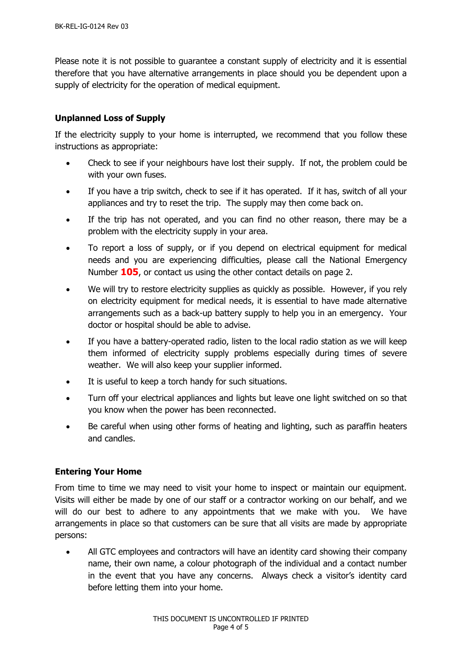Please note it is not possible to guarantee a constant supply of electricity and it is essential therefore that you have alternative arrangements in place should you be dependent upon a supply of electricity for the operation of medical equipment.

# **Unplanned Loss of Supply**

If the electricity supply to your home is interrupted, we recommend that you follow these instructions as appropriate:

- Check to see if your neighbours have lost their supply. If not, the problem could be with your own fuses.
- If you have a trip switch, check to see if it has operated. If it has, switch of all your appliances and try to reset the trip. The supply may then come back on.
- If the trip has not operated, and you can find no other reason, there may be a problem with the electricity supply in your area.
- To report a loss of supply, or if you depend on electrical equipment for medical needs and you are experiencing difficulties, please call the National Emergency Number **105**, or contact us using the other contact details on page 2.
- We will try to restore electricity supplies as quickly as possible. However, if you rely on electricity equipment for medical needs, it is essential to have made alternative arrangements such as a back-up battery supply to help you in an emergency. Your doctor or hospital should be able to advise.
- If you have a battery-operated radio, listen to the local radio station as we will keep them informed of electricity supply problems especially during times of severe weather. We will also keep your supplier informed.
- It is useful to keep a torch handy for such situations.
- Turn off your electrical appliances and lights but leave one light switched on so that you know when the power has been reconnected.
- Be careful when using other forms of heating and lighting, such as paraffin heaters and candles.

## **Entering Your Home**

From time to time we may need to visit your home to inspect or maintain our equipment. Visits will either be made by one of our staff or a contractor working on our behalf, and we will do our best to adhere to any appointments that we make with you. We have arrangements in place so that customers can be sure that all visits are made by appropriate persons:

• All GTC employees and contractors will have an identity card showing their company name, their own name, a colour photograph of the individual and a contact number in the event that you have any concerns. Always check a visitor's identity card before letting them into your home.